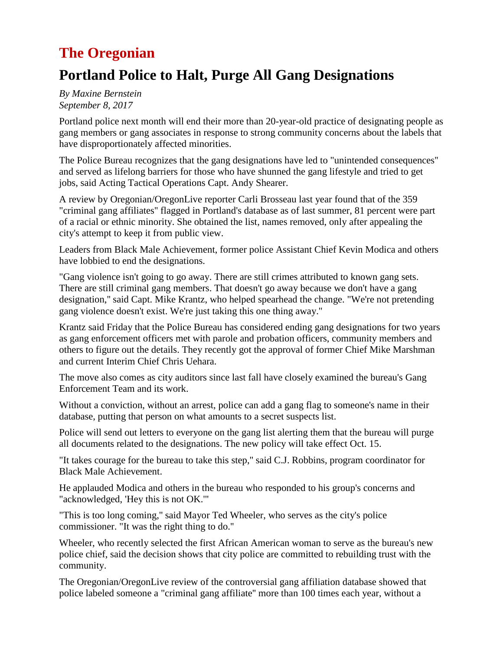# **The Oregonian**

# **Portland Police to Halt, Purge All Gang Designations**

*By Maxine Bernstein September 8, 2017*

Portland police next month will end their more than 20-year-old practice of designating people as gang members or gang associates in response to strong community concerns about the labels that have disproportionately affected minorities.

The Police Bureau recognizes that the gang designations have led to "unintended consequences'' and served as lifelong barriers for those who have shunned the gang lifestyle and tried to get jobs, said Acting Tactical Operations Capt. Andy Shearer.

A review by Oregonian/OregonLive reporter Carli Brosseau last year found that of the 359 "criminal gang affiliates'' flagged in Portland's database as of last summer, 81 percent were part of a racial or ethnic minority. She obtained the list, names removed, only after appealing the city's attempt to keep it from public view.

Leaders from Black Male Achievement, former police Assistant Chief Kevin Modica and others have lobbied to end the designations.

"Gang violence isn't going to go away. There are still crimes attributed to known gang sets. There are still criminal gang members. That doesn't go away because we don't have a gang designation,'' said Capt. Mike Krantz, who helped spearhead the change. "We're not pretending gang violence doesn't exist. We're just taking this one thing away.''

Krantz said Friday that the Police Bureau has considered ending gang designations for two years as gang enforcement officers met with parole and probation officers, community members and others to figure out the details. They recently got the approval of former Chief Mike Marshman and current Interim Chief Chris Uehara.

The move also comes as city auditors since last fall have closely examined the bureau's Gang Enforcement Team and its work.

Without a conviction, without an arrest, police can add a gang flag to someone's name in their database, putting that person on what amounts to a secret suspects list.

Police will send out letters to everyone on the gang list alerting them that the bureau will purge all documents related to the designations. The new policy will take effect Oct. 15.

"It takes courage for the bureau to take this step,'' said C.J. Robbins, program coordinator for Black Male Achievement.

He applauded Modica and others in the bureau who responded to his group's concerns and "acknowledged, 'Hey this is not OK.'"

"This is too long coming,'' said Mayor Ted Wheeler, who serves as the city's police commissioner. "It was the right thing to do.''

Wheeler, who recently selected the first African American woman to serve as the bureau's new police chief, said the decision shows that city police are committed to rebuilding trust with the community.

The Oregonian/OregonLive review of the controversial gang affiliation database showed that police labeled someone a "criminal gang affiliate'' more than 100 times each year, without a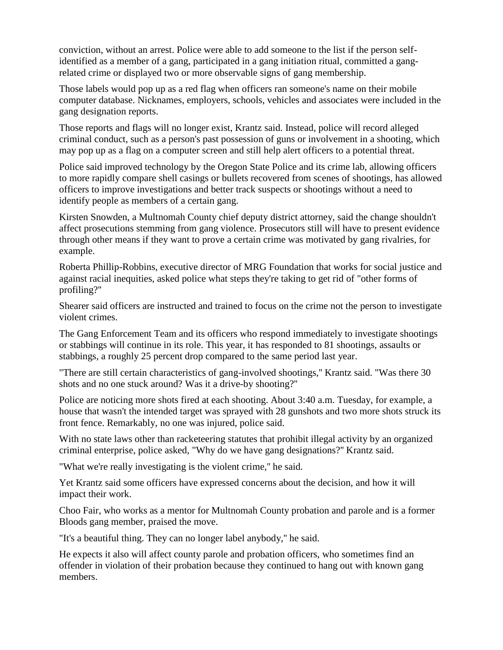conviction, without an arrest. Police were able to add someone to the list if the person selfidentified as a member of a gang, participated in a gang initiation ritual, committed a gangrelated crime or displayed two or more observable signs of gang membership.

Those labels would pop up as a red flag when officers ran someone's name on their mobile computer database. Nicknames, employers, schools, vehicles and associates were included in the gang designation reports.

Those reports and flags will no longer exist, Krantz said. Instead, police will record alleged criminal conduct, such as a person's past possession of guns or involvement in a shooting, which may pop up as a flag on a computer screen and still help alert officers to a potential threat.

Police said improved technology by the Oregon State Police and its crime lab, allowing officers to more rapidly compare shell casings or bullets recovered from scenes of shootings, has allowed officers to improve investigations and better track suspects or shootings without a need to identify people as members of a certain gang.

Kirsten Snowden, a Multnomah County chief deputy district attorney, said the change shouldn't affect prosecutions stemming from gang violence. Prosecutors still will have to present evidence through other means if they want to prove a certain crime was motivated by gang rivalries, for example.

Roberta Phillip-Robbins, executive director of MRG Foundation that works for social justice and against racial inequities, asked police what steps they're taking to get rid of "other forms of profiling?''

Shearer said officers are instructed and trained to focus on the crime not the person to investigate violent crimes.

The Gang Enforcement Team and its officers who respond immediately to investigate shootings or stabbings will continue in its role. This year, it has responded to 81 shootings, assaults or stabbings, a roughly 25 percent drop compared to the same period last year.

"There are still certain characteristics of gang-involved shootings,'' Krantz said. "Was there 30 shots and no one stuck around? Was it a drive-by shooting?''

Police are noticing more shots fired at each shooting. About 3:40 a.m. Tuesday, for example, a house that wasn't the intended target was sprayed with 28 gunshots and two more shots struck its front fence. Remarkably, no one was injured, police said.

With no state laws other than racketeering statutes that prohibit illegal activity by an organized criminal enterprise, police asked, "Why do we have gang designations?'' Krantz said.

"What we're really investigating is the violent crime,'' he said.

Yet Krantz said some officers have expressed concerns about the decision, and how it will impact their work.

Choo Fair, who works as a mentor for Multnomah County probation and parole and is a former Bloods gang member, praised the move.

"It's a beautiful thing. They can no longer label anybody,'' he said.

He expects it also will affect county parole and probation officers, who sometimes find an offender in violation of their probation because they continued to hang out with known gang members.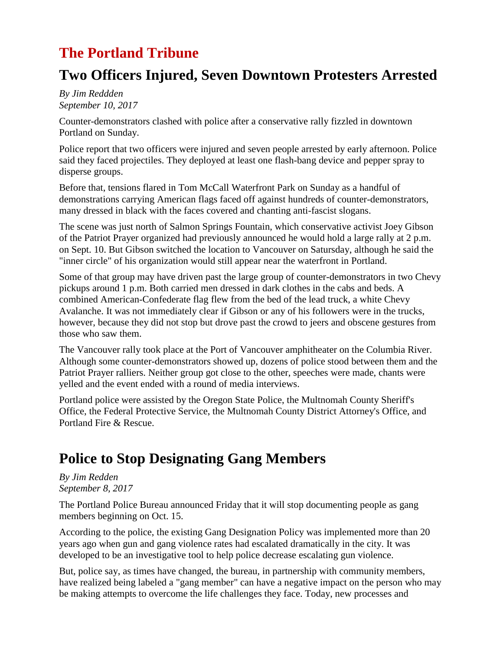# **The Portland Tribune**

# **Two Officers Injured, Seven Downtown Protesters Arrested**

*By Jim Reddden September 10, 2017*

Counter-demonstrators clashed with police after a conservative rally fizzled in downtown Portland on Sunday.

Police report that two officers were injured and seven people arrested by early afternoon. Police said they faced projectiles. They deployed at least one flash-bang device and pepper spray to disperse groups.

Before that, tensions flared in Tom McCall Waterfront Park on Sunday as a handful of demonstrations carrying American flags faced off against hundreds of counter-demonstrators, many dressed in black with the faces covered and chanting anti-fascist slogans.

The scene was just north of Salmon Springs Fountain, which conservative activist Joey Gibson of the Patriot Prayer organized had previously announced he would hold a large rally at 2 p.m. on Sept. 10. But Gibson switched the location to Vancouver on Satursday, although he said the "inner circle" of his organization would still appear near the waterfront in Portland.

Some of that group may have driven past the large group of counter-demonstrators in two Chevy pickups around 1 p.m. Both carried men dressed in dark clothes in the cabs and beds. A combined American-Confederate flag flew from the bed of the lead truck, a white Chevy Avalanche. It was not immediately clear if Gibson or any of his followers were in the trucks, however, because they did not stop but drove past the crowd to jeers and obscene gestures from those who saw them.

The Vancouver rally took place at the Port of Vancouver amphitheater on the Columbia River. Although some counter-demonstrators showed up, dozens of police stood between them and the Patriot Prayer ralliers. Neither group got close to the other, speeches were made, chants were yelled and the event ended with a round of media interviews.

Portland police were assisted by the Oregon State Police, the Multnomah County Sheriff's Office, the Federal Protective Service, the Multnomah County District Attorney's Office, and Portland Fire & Rescue.

# **Police to Stop Designating Gang Members**

#### *By Jim Redden September 8, 2017*

The Portland Police Bureau announced Friday that it will stop documenting people as gang members beginning on Oct. 15.

According to the police, the existing Gang Designation Policy was implemented more than 20 years ago when gun and gang violence rates had escalated dramatically in the city. It was developed to be an investigative tool to help police decrease escalating gun violence.

But, police say, as times have changed, the bureau, in partnership with community members, have realized being labeled a "gang member" can have a negative impact on the person who may be making attempts to overcome the life challenges they face. Today, new processes and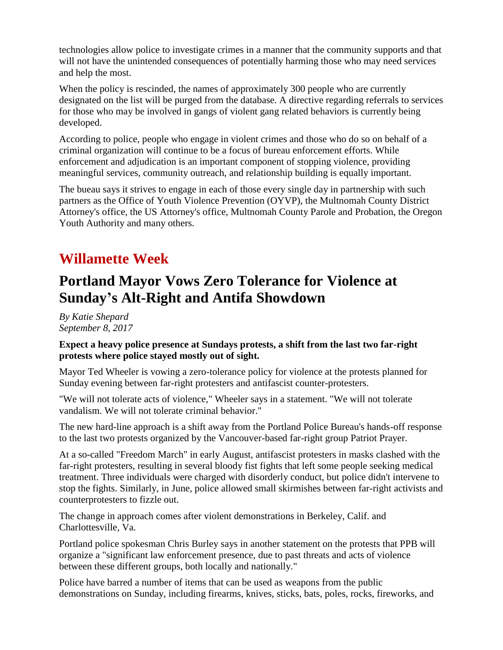technologies allow police to investigate crimes in a manner that the community supports and that will not have the unintended consequences of potentially harming those who may need services and help the most.

When the policy is rescinded, the names of approximately 300 people who are currently designated on the list will be purged from the database. A directive regarding referrals to services for those who may be involved in gangs of violent gang related behaviors is currently being developed.

According to police, people who engage in violent crimes and those who do so on behalf of a criminal organization will continue to be a focus of bureau enforcement efforts. While enforcement and adjudication is an important component of stopping violence, providing meaningful services, community outreach, and relationship building is equally important.

The bueau says it strives to engage in each of those every single day in partnership with such partners as the Office of Youth Violence Prevention (OYVP), the Multnomah County District Attorney's office, the US Attorney's office, Multnomah County Parole and Probation, the Oregon Youth Authority and many others.

## **Willamette Week**

# **Portland Mayor Vows Zero Tolerance for Violence at Sunday's Alt-Right and Antifa Showdown**

*By Katie Shepard September 8, 2017*

#### **Expect a heavy police presence at Sundays protests, a shift from the last two far-right protests where police stayed mostly out of sight.**

Mayor Ted Wheeler is vowing a zero-tolerance policy for violence at the protests planned for Sunday evening between far-right protesters and antifascist counter-protesters.

"We will not tolerate acts of violence," Wheeler says in a statement. "We will not tolerate vandalism. We will not tolerate criminal behavior."

The new hard-line approach is a shift away from the Portland Police Bureau's hands-off response to the last two protests organized by the Vancouver-based far-right group Patriot Prayer.

At a so-called "Freedom March" in early August, antifascist protesters in masks clashed with the far-right protesters, resulting in several bloody fist fights that left some people seeking medical treatment. Three individuals were charged with disorderly conduct, but police didn't intervene to stop the fights. Similarly, in June, police allowed small skirmishes between far-right activists and counterprotesters to fizzle out.

The change in approach comes after violent demonstrations in Berkeley, Calif. and Charlottesville, Va.

Portland police spokesman Chris Burley says in another statement on the protests that PPB will organize a "significant law enforcement presence, due to past threats and acts of violence between these different groups, both locally and nationally."

Police have barred a number of items that can be used as weapons from the public demonstrations on Sunday, including firearms, knives, sticks, bats, poles, rocks, fireworks, and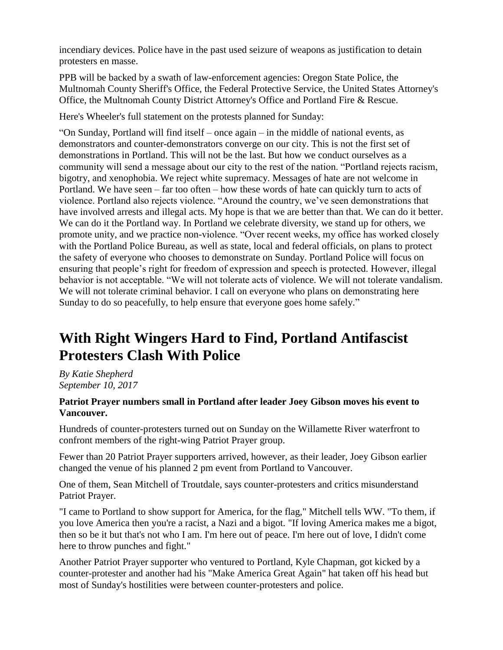incendiary devices. Police have in the past used seizure of weapons as justification to detain protesters en masse.

PPB will be backed by a swath of law-enforcement agencies: Oregon State Police, the Multnomah County Sheriff's Office, the Federal Protective Service, the United States Attorney's Office, the Multnomah County District Attorney's Office and Portland Fire & Rescue.

Here's Wheeler's full statement on the protests planned for Sunday:

"On Sunday, Portland will find itself – once again – in the middle of national events, as demonstrators and counter-demonstrators converge on our city. This is not the first set of demonstrations in Portland. This will not be the last. But how we conduct ourselves as a community will send a message about our city to the rest of the nation. "Portland rejects racism, bigotry, and xenophobia. We reject white supremacy. Messages of hate are not welcome in Portland. We have seen – far too often – how these words of hate can quickly turn to acts of violence. Portland also rejects violence. "Around the country, we've seen demonstrations that have involved arrests and illegal acts. My hope is that we are better than that. We can do it better. We can do it the Portland way. In Portland we celebrate diversity, we stand up for others, we promote unity, and we practice non-violence. "Over recent weeks, my office has worked closely with the Portland Police Bureau, as well as state, local and federal officials, on plans to protect the safety of everyone who chooses to demonstrate on Sunday. Portland Police will focus on ensuring that people's right for freedom of expression and speech is protected. However, illegal behavior is not acceptable. "We will not tolerate acts of violence. We will not tolerate vandalism. We will not tolerate criminal behavior. I call on everyone who plans on demonstrating here Sunday to do so peacefully, to help ensure that everyone goes home safely."

# **With Right Wingers Hard to Find, Portland Antifascist Protesters Clash With Police**

*By Katie Shepherd September 10, 2017*

#### **Patriot Prayer numbers small in Portland after leader Joey Gibson moves his event to Vancouver.**

Hundreds of counter-protesters turned out on Sunday on the Willamette River waterfront to confront members of the right-wing Patriot Prayer group.

Fewer than 20 Patriot Prayer supporters arrived, however, as their leader, Joey Gibson earlier changed the venue of his planned 2 pm event from Portland to Vancouver.

One of them, Sean Mitchell of Troutdale, says counter-protesters and critics misunderstand Patriot Prayer.

"I came to Portland to show support for America, for the flag," Mitchell tells WW. "To them, if you love America then you're a racist, a Nazi and a bigot. "If loving America makes me a bigot, then so be it but that's not who I am. I'm here out of peace. I'm here out of love, I didn't come here to throw punches and fight."

Another Patriot Prayer supporter who ventured to Portland, Kyle Chapman, got kicked by a counter-protester and another had his "Make America Great Again" hat taken off his head but most of Sunday's hostilities were between counter-protesters and police.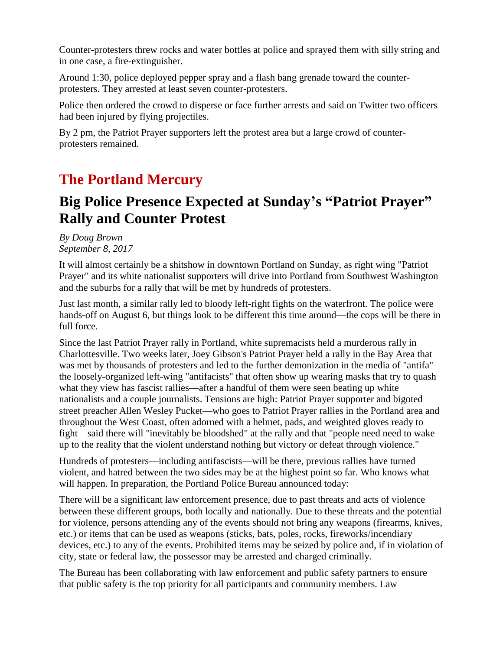Counter-protesters threw rocks and water bottles at police and sprayed them with silly string and in one case, a fire-extinguisher.

Around 1:30, police deployed pepper spray and a flash bang grenade toward the counterprotesters. They arrested at least seven counter-protesters.

Police then ordered the crowd to disperse or face further arrests and said on Twitter two officers had been injured by flying projectiles.

By 2 pm, the Patriot Prayer supporters left the protest area but a large crowd of counterprotesters remained.

#### **The Portland Mercury**

# **Big Police Presence Expected at Sunday's "Patriot Prayer" Rally and Counter Protest**

*By Doug Brown September 8, 2017*

It will almost certainly be a shitshow in downtown Portland on Sunday, as right wing "Patriot Prayer" and its white nationalist supporters will drive into Portland from Southwest Washington and the suburbs for a rally that will be met by hundreds of protesters.

Just last month, a similar rally led to bloody left-right fights on the waterfront. The police were hands-off on August 6, but things look to be different this time around—the cops will be there in full force.

Since the last Patriot Prayer rally in Portland, white supremacists held a murderous rally in Charlottesville. Two weeks later, Joey Gibson's Patriot Prayer held a rally in the Bay Area that was met by thousands of protesters and led to the further demonization in the media of "antifa" the loosely-organized left-wing "antifacists" that often show up wearing masks that try to quash what they view has fascist rallies—after a handful of them were seen beating up white nationalists and a couple journalists. Tensions are high: Patriot Prayer supporter and bigoted street preacher Allen Wesley Pucket—who goes to Patriot Prayer rallies in the Portland area and throughout the West Coast, often adorned with a helmet, pads, and weighted gloves ready to fight—said there will "inevitably be bloodshed" at the rally and that "people need need to wake up to the reality that the violent understand nothing but victory or defeat through violence."

Hundreds of protesters—including antifascists—will be there, previous rallies have turned violent, and hatred between the two sides may be at the highest point so far. Who knows what will happen. In preparation, the Portland Police Bureau announced today:

There will be a significant law enforcement presence, due to past threats and acts of violence between these different groups, both locally and nationally. Due to these threats and the potential for violence, persons attending any of the events should not bring any weapons (firearms, knives, etc.) or items that can be used as weapons (sticks, bats, poles, rocks, fireworks/incendiary devices, etc.) to any of the events. Prohibited items may be seized by police and, if in violation of city, state or federal law, the possessor may be arrested and charged criminally.

The Bureau has been collaborating with law enforcement and public safety partners to ensure that public safety is the top priority for all participants and community members. Law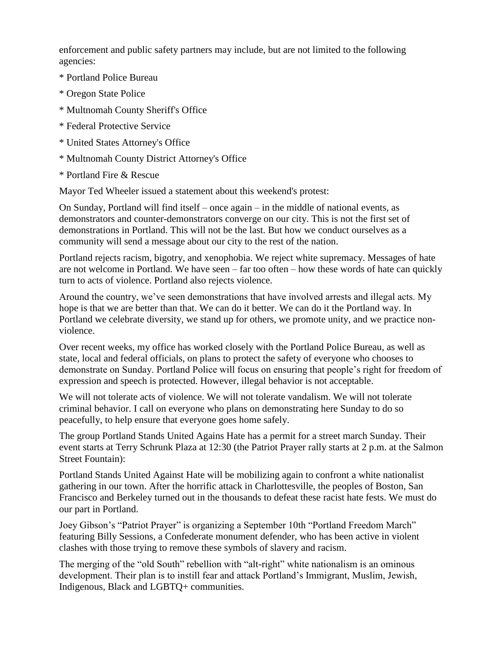enforcement and public safety partners may include, but are not limited to the following agencies:

- \* Portland Police Bureau
- \* Oregon State Police
- \* Multnomah County Sheriff's Office
- \* Federal Protective Service
- \* United States Attorney's Office
- \* Multnomah County District Attorney's Office
- \* Portland Fire & Rescue

Mayor Ted Wheeler issued a statement about this weekend's protest:

On Sunday, Portland will find itself – once again – in the middle of national events, as demonstrators and counter-demonstrators converge on our city. This is not the first set of demonstrations in Portland. This will not be the last. But how we conduct ourselves as a community will send a message about our city to the rest of the nation.

Portland rejects racism, bigotry, and xenophobia. We reject white supremacy. Messages of hate are not welcome in Portland. We have seen – far too often – how these words of hate can quickly turn to acts of violence. Portland also rejects violence.

Around the country, we've seen demonstrations that have involved arrests and illegal acts. My hope is that we are better than that. We can do it better. We can do it the Portland way. In Portland we celebrate diversity, we stand up for others, we promote unity, and we practice nonviolence.

Over recent weeks, my office has worked closely with the Portland Police Bureau, as well as state, local and federal officials, on plans to protect the safety of everyone who chooses to demonstrate on Sunday. Portland Police will focus on ensuring that people's right for freedom of expression and speech is protected. However, illegal behavior is not acceptable.

We will not tolerate acts of violence. We will not tolerate vandalism. We will not tolerate criminal behavior. I call on everyone who plans on demonstrating here Sunday to do so peacefully, to help ensure that everyone goes home safely.

The group Portland Stands United Agains Hate has a permit for a street march Sunday. Their event starts at Terry Schrunk Plaza at 12:30 (the Patriot Prayer rally starts at 2 p.m. at the Salmon Street Fountain):

Portland Stands United Against Hate will be mobilizing again to confront a white nationalist gathering in our town. After the horrific attack in Charlottesville, the peoples of Boston, San Francisco and Berkeley turned out in the thousands to defeat these racist hate fests. We must do our part in Portland.

Joey Gibson's "Patriot Prayer" is organizing a September 10th "Portland Freedom March" featuring Billy Sessions, a Confederate monument defender, who has been active in violent clashes with those trying to remove these symbols of slavery and racism.

The merging of the "old South" rebellion with "alt-right" white nationalism is an ominous development. Their plan is to instill fear and attack Portland's Immigrant, Muslim, Jewish, Indigenous, Black and LGBTQ+ communities.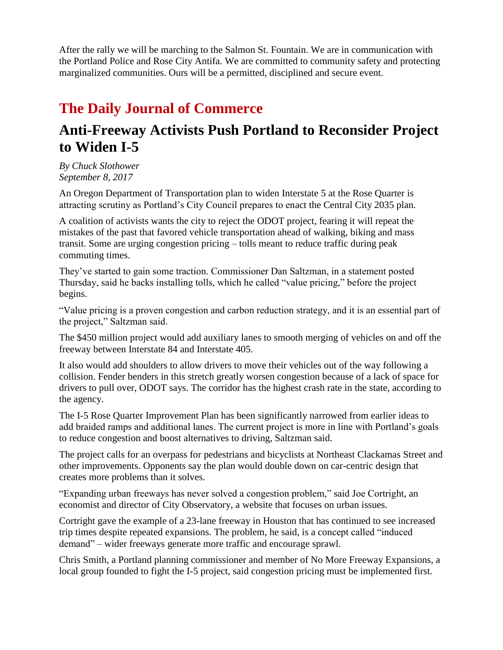After the rally we will be marching to the Salmon St. Fountain. We are in communication with the Portland Police and Rose City Antifa. We are committed to community safety and protecting marginalized communities. Ours will be a permitted, disciplined and secure event.

# **The Daily Journal of Commerce**

#### **Anti-Freeway Activists Push Portland to Reconsider Project to Widen I-5**

*By Chuck Slothower September 8, 2017*

An Oregon Department of Transportation plan to widen Interstate 5 at the Rose Quarter is attracting scrutiny as Portland's City Council prepares to enact the Central City 2035 plan.

A coalition of activists wants the city to reject the ODOT project, fearing it will repeat the mistakes of the past that favored vehicle transportation ahead of walking, biking and mass transit. Some are urging congestion pricing – tolls meant to reduce traffic during peak commuting times.

They've started to gain some traction. Commissioner Dan Saltzman, in a statement posted Thursday, said he backs installing tolls, which he called "value pricing," before the project begins.

"Value pricing is a proven congestion and carbon reduction strategy, and it is an essential part of the project," Saltzman said.

The \$450 million project would add auxiliary lanes to smooth merging of vehicles on and off the freeway between Interstate 84 and Interstate 405.

It also would add shoulders to allow drivers to move their vehicles out of the way following a collision. Fender benders in this stretch greatly worsen congestion because of a lack of space for drivers to pull over, ODOT says. The corridor has the highest crash rate in the state, according to the agency.

The I-5 Rose Quarter Improvement Plan has been significantly narrowed from earlier ideas to add braided ramps and additional lanes. The current project is more in line with Portland's goals to reduce congestion and boost alternatives to driving, Saltzman said.

The project calls for an overpass for pedestrians and bicyclists at Northeast Clackamas Street and other improvements. Opponents say the plan would double down on car-centric design that creates more problems than it solves.

"Expanding urban freeways has never solved a congestion problem," said Joe Cortright, an economist and director of City Observatory, a website that focuses on urban issues.

Cortright gave the example of a 23-lane freeway in Houston that has continued to see increased trip times despite repeated expansions. The problem, he said, is a concept called "induced demand" – wider freeways generate more traffic and encourage sprawl.

Chris Smith, a Portland planning commissioner and member of No More Freeway Expansions, a local group founded to fight the I-5 project, said congestion pricing must be implemented first.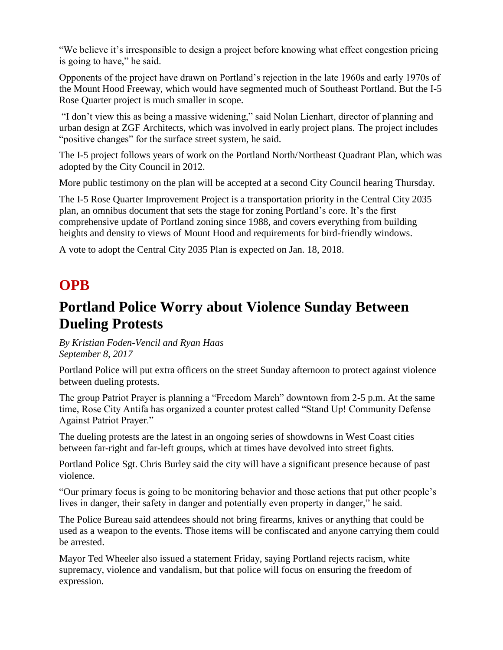"We believe it's irresponsible to design a project before knowing what effect congestion pricing is going to have," he said.

Opponents of the project have drawn on Portland's rejection in the late 1960s and early 1970s of the Mount Hood Freeway, which would have segmented much of Southeast Portland. But the I-5 Rose Quarter project is much smaller in scope.

"I don't view this as being a massive widening," said Nolan Lienhart, director of planning and urban design at ZGF Architects, which was involved in early project plans. The project includes "positive changes" for the surface street system, he said.

The I-5 project follows years of work on the Portland North/Northeast Quadrant Plan, which was adopted by the City Council in 2012.

More public testimony on the plan will be accepted at a second City Council hearing Thursday.

The I-5 Rose Quarter Improvement Project is a transportation priority in the Central City 2035 plan, an omnibus document that sets the stage for zoning Portland's core. It's the first comprehensive update of Portland zoning since 1988, and covers everything from building heights and density to views of Mount Hood and requirements for bird-friendly windows.

A vote to adopt the Central City 2035 Plan is expected on Jan. 18, 2018.

## **OPB**

# **Portland Police Worry about Violence Sunday Between Dueling Protests**

*By Kristian Foden-Vencil and Ryan Haas September 8, 2017*

Portland Police will put extra officers on the street Sunday afternoon to protect against violence between dueling protests.

The group Patriot Prayer is planning a "Freedom March" downtown from 2-5 p.m. At the same time, Rose City Antifa has organized a counter protest called "Stand Up! Community Defense Against Patriot Prayer."

The dueling protests are the latest in an ongoing series of showdowns in West Coast cities between far-right and far-left groups, which at times have devolved into street fights.

Portland Police Sgt. Chris Burley said the city will have a significant presence because of past violence.

"Our primary focus is going to be monitoring behavior and those actions that put other people's lives in danger, their safety in danger and potentially even property in danger," he said.

The Police Bureau said attendees should not bring firearms, knives or anything that could be used as a weapon to the events. Those items will be confiscated and anyone carrying them could be arrested.

Mayor Ted Wheeler also issued a statement Friday, saying Portland rejects racism, white supremacy, violence and vandalism, but that police will focus on ensuring the freedom of expression.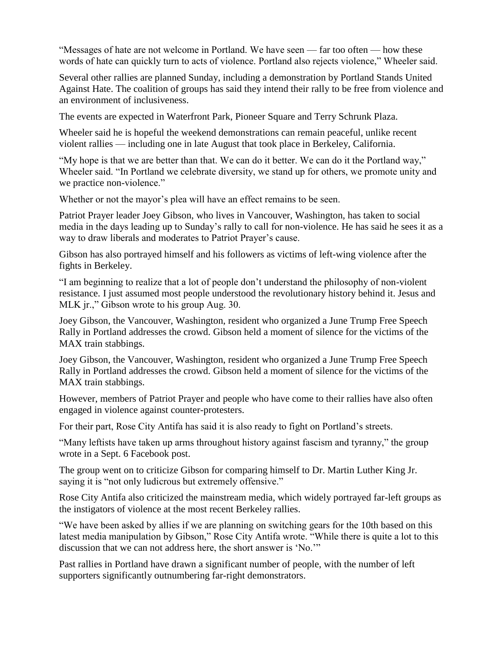"Messages of hate are not welcome in Portland. We have seen — far too often — how these words of hate can quickly turn to acts of violence. Portland also rejects violence," Wheeler said.

Several other rallies are planned Sunday, including a demonstration by Portland Stands United Against Hate. The coalition of groups has said they intend their rally to be free from violence and an environment of inclusiveness.

The events are expected in Waterfront Park, Pioneer Square and Terry Schrunk Plaza.

Wheeler said he is hopeful the weekend demonstrations can remain peaceful, unlike recent violent rallies — including one in late August that took place in Berkeley, California.

"My hope is that we are better than that. We can do it better. We can do it the Portland way," Wheeler said. "In Portland we celebrate diversity, we stand up for others, we promote unity and we practice non-violence."

Whether or not the mayor's plea will have an effect remains to be seen.

Patriot Prayer leader Joey Gibson, who lives in Vancouver, Washington, has taken to social media in the days leading up to Sunday's rally to call for non-violence. He has said he sees it as a way to draw liberals and moderates to Patriot Prayer's cause.

Gibson has also portrayed himself and his followers as victims of left-wing violence after the fights in Berkeley.

"I am beginning to realize that a lot of people don't understand the philosophy of non-violent resistance. I just assumed most people understood the revolutionary history behind it. Jesus and MLK jr.," Gibson wrote to his group Aug. 30.

Joey Gibson, the Vancouver, Washington, resident who organized a June Trump Free Speech Rally in Portland addresses the crowd. Gibson held a moment of silence for the victims of the MAX train stabbings.

Joey Gibson, the Vancouver, Washington, resident who organized a June Trump Free Speech Rally in Portland addresses the crowd. Gibson held a moment of silence for the victims of the MAX train stabbings.

However, members of Patriot Prayer and people who have come to their rallies have also often engaged in violence against counter-protesters.

For their part, Rose City Antifa has said it is also ready to fight on Portland's streets.

"Many leftists have taken up arms throughout history against fascism and tyranny," the group wrote in a Sept. 6 Facebook post.

The group went on to criticize Gibson for comparing himself to Dr. Martin Luther King Jr. saying it is "not only ludicrous but extremely offensive."

Rose City Antifa also criticized the mainstream media, which widely portrayed far-left groups as the instigators of violence at the most recent Berkeley rallies.

"We have been asked by allies if we are planning on switching gears for the 10th based on this latest media manipulation by Gibson," Rose City Antifa wrote. "While there is quite a lot to this discussion that we can not address here, the short answer is 'No.'"

Past rallies in Portland have drawn a significant number of people, with the number of left supporters significantly outnumbering far-right demonstrators.